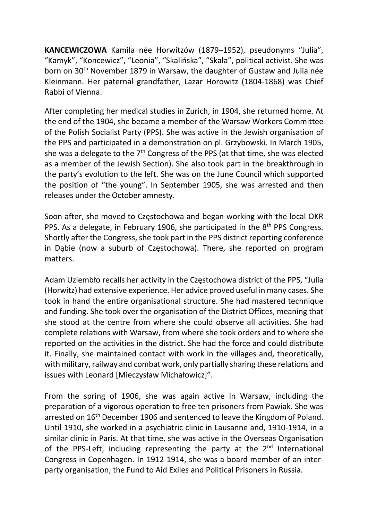KANCEWICZOWA Kamila née Horwitzów (1879–1952), pseudonyms "Julia", "Kamyk", "Koncewicz", "Leonia", "Skalińska", "Skała", political activist. She was born on 30<sup>th</sup> November 1879 in Warsaw, the daughter of Gustaw and Julia née Kleinmann. Her paternal grandfather, Lazar Horowitz (1804-1868) was Chief Rabbi of Vienna.

After completing her medical studies in Zurich, in 1904, she returned home. At the end of the 1904, she became a member of the Warsaw Workers Committee of the Polish Socialist Party (PPS). She was active in the Jewish organisation of the PPS and participated in a demonstration on pl. Grzybowski. In March 1905, she was a delegate to the  $7<sup>th</sup>$  Congress of the PPS (at that time, she was elected as a member of the Jewish Section). She also took part in the breakthrough in the party's evolution to the left. She was on the June Council which supported the position of "the young". In September 1905, she was arrested and then releases under the October amnesty.

Soon after, she moved to Częstochowa and began working with the local OKR PPS. As a delegate, in February 1906, she participated in the 8th PPS Congress. Shortly after the Congress, she took part in the PPS district reporting conference in Dąbie (now a suburb of Częstochowa). There, she reported on program matters.

Adam Uziembło recalls her activity in the Częstochowa district of the PPS, "Julia (Horwitz) had extensive experience. Her advice proved useful in many cases. She took in hand the entire organisational structure. She had mastered technique and funding. She took over the organisation of the District Offices, meaning that she stood at the centre from where she could observe all activities. She had complete relations with Warsaw, from where she took orders and to where she reported on the activities in the district. She had the force and could distribute it. Finally, she maintained contact with work in the villages and, theoretically, with military, railway and combat work, only partially sharing these relations and issues with Leonard [Mieczysław Michałowicz]".

From the spring of 1906, she was again active in Warsaw, including the preparation of a vigorous operation to free ten prisoners from Pawiak. She was arrested on 16<sup>th</sup> December 1906 and sentenced to leave the Kingdom of Poland. Until 1910, she worked in a psychiatric clinic in Lausanne and, 1910-1914, in a similar clinic in Paris. At that time, she was active in the Overseas Organisation of the PPS-Left, including representing the party at the  $2<sup>nd</sup>$  International Congress in Copenhagen. In 1912-1914, she was a board member of an interparty organisation, the Fund to Aid Exiles and Political Prisoners in Russia.